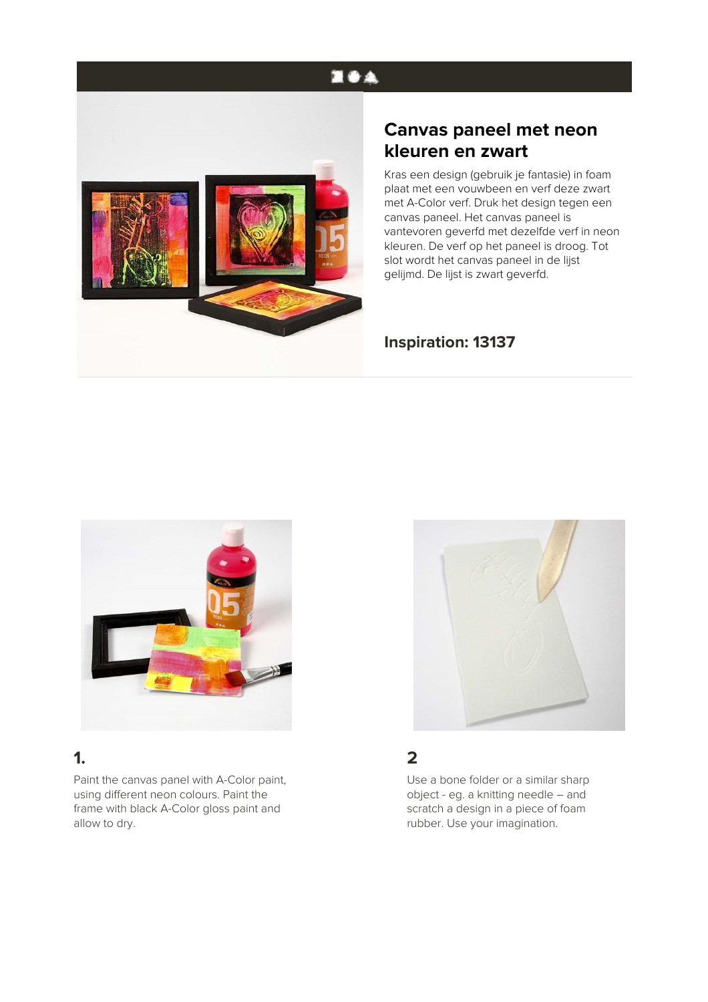# **EOA**



# **Canvas paneel met neon kleuren en zwart**

Kras een design (gebruik je fantasie) in foam plaat met een vouwbeen en verf deze zwart met A-Color verf. Druk het design tegen een canvas paneel. Het canvas paneel is vantevoren geverfd met dezelfde verf in neon kleuren. De verf op het paneel is droog. Tot slot wordt het canvas paneel in de lijst gelijmd. De lijst is zwart geverfd.

#### **Inspiration: 13137**



## **1.**

Paint the canvas panel with A-Color paint, using different neon colours. Paint the frame with black A-Color gloss paint and allow to dry.



### **2**

Use a bone folder or a similar sharp object - eg. a knitting needle – and scratch a design in a piece of foam rubber. Use your imagination.